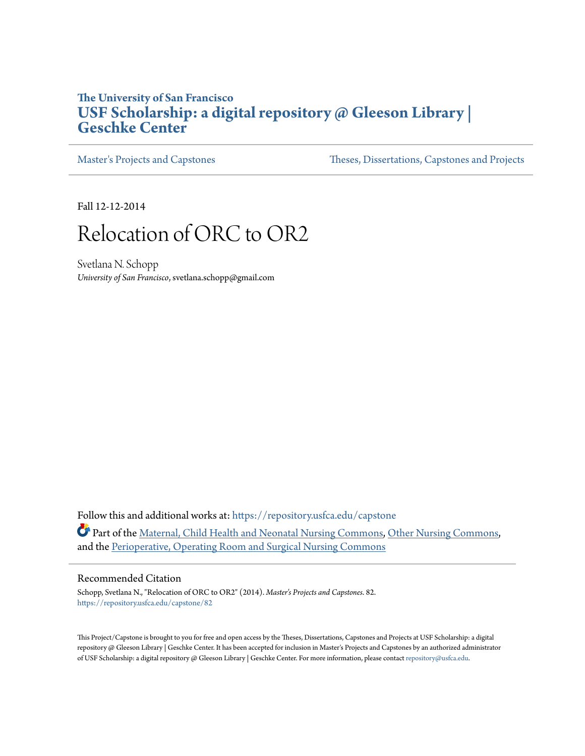#### **The University of San Francisco [USF Scholarship: a digital repository @ Gleeson Library |](https://repository.usfca.edu?utm_source=repository.usfca.edu%2Fcapstone%2F82&utm_medium=PDF&utm_campaign=PDFCoverPages) [Geschke Center](https://repository.usfca.edu?utm_source=repository.usfca.edu%2Fcapstone%2F82&utm_medium=PDF&utm_campaign=PDFCoverPages)**

[Master's Projects and Capstones](https://repository.usfca.edu/capstone?utm_source=repository.usfca.edu%2Fcapstone%2F82&utm_medium=PDF&utm_campaign=PDFCoverPages) [Theses, Dissertations, Capstones and Projects](https://repository.usfca.edu/etd?utm_source=repository.usfca.edu%2Fcapstone%2F82&utm_medium=PDF&utm_campaign=PDFCoverPages)

Fall 12-12-2014

# Relocation of ORC to OR2

Svetlana N. Schopp *University of San Francisco*, svetlana.schopp@gmail.com

Follow this and additional works at: [https://repository.usfca.edu/capstone](https://repository.usfca.edu/capstone?utm_source=repository.usfca.edu%2Fcapstone%2F82&utm_medium=PDF&utm_campaign=PDFCoverPages) Part of the [Maternal, Child Health and Neonatal Nursing Commons](http://network.bepress.com/hgg/discipline/721?utm_source=repository.usfca.edu%2Fcapstone%2F82&utm_medium=PDF&utm_campaign=PDFCoverPages), [Other Nursing Commons,](http://network.bepress.com/hgg/discipline/729?utm_source=repository.usfca.edu%2Fcapstone%2F82&utm_medium=PDF&utm_campaign=PDFCoverPages) and the [Perioperative, Operating Room and Surgical Nursing Commons](http://network.bepress.com/hgg/discipline/726?utm_source=repository.usfca.edu%2Fcapstone%2F82&utm_medium=PDF&utm_campaign=PDFCoverPages)

#### Recommended Citation

Schopp, Svetlana N., "Relocation of ORC to OR2" (2014). *Master's Projects and Capstones*. 82. [https://repository.usfca.edu/capstone/82](https://repository.usfca.edu/capstone/82?utm_source=repository.usfca.edu%2Fcapstone%2F82&utm_medium=PDF&utm_campaign=PDFCoverPages)

This Project/Capstone is brought to you for free and open access by the Theses, Dissertations, Capstones and Projects at USF Scholarship: a digital repository @ Gleeson Library | Geschke Center. It has been accepted for inclusion in Master's Projects and Capstones by an authorized administrator of USF Scholarship: a digital repository @ Gleeson Library | Geschke Center. For more information, please contact [repository@usfca.edu](mailto:repository@usfca.edu).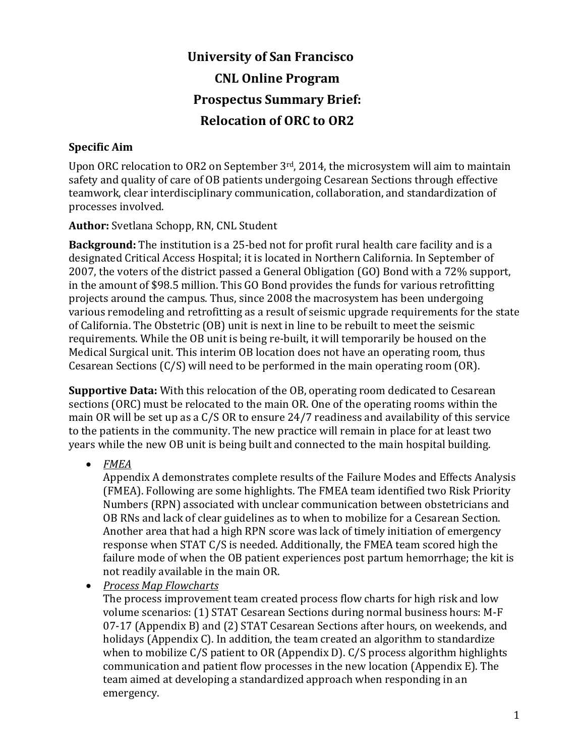# University of San Francisco CNL Online Program Prospectus Summary Brief: Relocation of ORC to OR2

#### Specific Aim

Upon ORC relocation to OR2 on September 3rd, 2014, the microsystem will aim to maintain safety and quality of care of OB patients undergoing Cesarean Sections through effective teamwork, clear interdisciplinary communication, collaboration, and standardization of processes involved.

#### Author: Svetlana Schopp, RN, CNL Student

Background: The institution is a 25-bed not for profit rural health care facility and is a designated Critical Access Hospital; it is located in Northern California. In September of 2007, the voters of the district passed a General Obligation (GO) Bond with a 72% support, in the amount of \$98.5 million. This GO Bond provides the funds for various retrofitting projects around the campus. Thus, since 2008 the macrosystem has been undergoing various remodeling and retrofitting as a result of seismic upgrade requirements for the state of California. The Obstetric (OB) unit is next in line to be rebuilt to meet the seismic requirements. While the OB unit is being re-built, it will temporarily be housed on the Medical Surgical unit. This interim OB location does not have an operating room, thus Cesarean Sections (C/S) will need to be performed in the main operating room (OR).

Supportive Data: With this relocation of the OB, operating room dedicated to Cesarean sections (ORC) must be relocated to the main OR. One of the operating rooms within the main OR will be set up as a C/S OR to ensure 24/7 readiness and availability of this service to the patients in the community. The new practice will remain in place for at least two years while the new OB unit is being built and connected to the main hospital building.

• FMEA

Appendix A demonstrates complete results of the Failure Modes and Effects Analysis (FMEA). Following are some highlights. The FMEA team identified two Risk Priority Numbers (RPN) associated with unclear communication between obstetricians and OB RNs and lack of clear guidelines as to when to mobilize for a Cesarean Section. Another area that had a high RPN score was lack of timely initiation of emergency response when STAT C/S is needed. Additionally, the FMEA team scored high the failure mode of when the OB patient experiences post partum hemorrhage; the kit is not readily available in the main OR.

• Process Map Flowcharts

The process improvement team created process flow charts for high risk and low volume scenarios: (1) STAT Cesarean Sections during normal business hours: M-F 07-17 (Appendix B) and (2) STAT Cesarean Sections after hours, on weekends, and holidays (Appendix C). In addition, the team created an algorithm to standardize when to mobilize C/S patient to OR (Appendix D). C/S process algorithm highlights communication and patient flow processes in the new location (Appendix E). The team aimed at developing a standardized approach when responding in an emergency.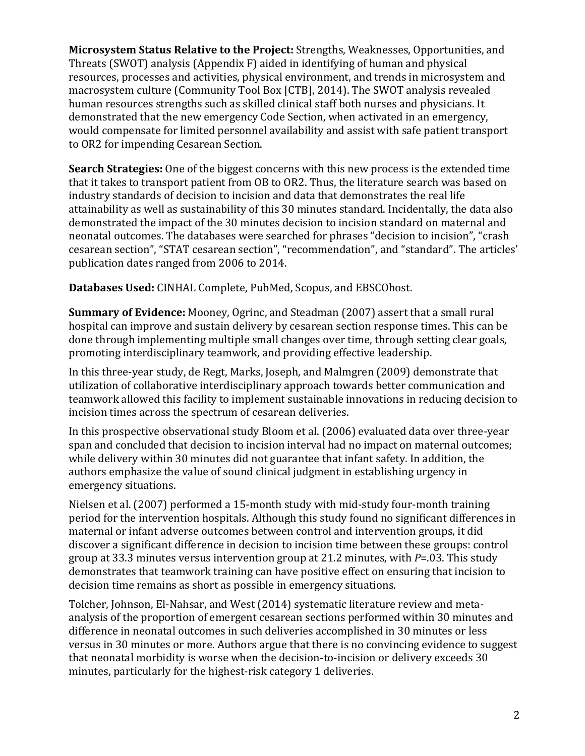Microsystem Status Relative to the Project: Strengths, Weaknesses, Opportunities, and Threats (SWOT) analysis (Appendix F) aided in identifying of human and physical resources, processes and activities, physical environment, and trends in microsystem and macrosystem culture (Community Tool Box [CTB], 2014). The SWOT analysis revealed human resources strengths such as skilled clinical staff both nurses and physicians. It demonstrated that the new emergency Code Section, when activated in an emergency, would compensate for limited personnel availability and assist with safe patient transport to OR2 for impending Cesarean Section.

Search Strategies: One of the biggest concerns with this new process is the extended time that it takes to transport patient from OB to OR2. Thus, the literature search was based on industry standards of decision to incision and data that demonstrates the real life attainability as well as sustainability of this 30 minutes standard. Incidentally, the data also demonstrated the impact of the 30 minutes decision to incision standard on maternal and neonatal outcomes. The databases were searched for phrases "decision to incision", "crash cesarean section", "STAT cesarean section", "recommendation", and "standard". The articles' publication dates ranged from 2006 to 2014.

Databases Used: CINHAL Complete, PubMed, Scopus, and EBSCOhost.

Summary of Evidence: Mooney, Ogrinc, and Steadman (2007) assert that a small rural hospital can improve and sustain delivery by cesarean section response times. This can be done through implementing multiple small changes over time, through setting clear goals, promoting interdisciplinary teamwork, and providing effective leadership.

In this three-year study, de Regt, Marks, Joseph, and Malmgren (2009) demonstrate that utilization of collaborative interdisciplinary approach towards better communication and teamwork allowed this facility to implement sustainable innovations in reducing decision to incision times across the spectrum of cesarean deliveries.

In this prospective observational study Bloom et al. (2006) evaluated data over three-year span and concluded that decision to incision interval had no impact on maternal outcomes; while delivery within 30 minutes did not guarantee that infant safety. In addition, the authors emphasize the value of sound clinical judgment in establishing urgency in emergency situations.

Nielsen et al. (2007) performed a 15-month study with mid-study four-month training period for the intervention hospitals. Although this study found no significant differences in maternal or infant adverse outcomes between control and intervention groups, it did discover a significant difference in decision to incision time between these groups: control group at 33.3 minutes versus intervention group at 21.2 minutes, with  $P = 03$ . This study demonstrates that teamwork training can have positive effect on ensuring that incision to decision time remains as short as possible in emergency situations.

Tolcher, Johnson, El-Nahsar, and West (2014) systematic literature review and metaanalysis of the proportion of emergent cesarean sections performed within 30 minutes and difference in neonatal outcomes in such deliveries accomplished in 30 minutes or less versus in 30 minutes or more. Authors argue that there is no convincing evidence to suggest that neonatal morbidity is worse when the decision-to-incision or delivery exceeds 30 minutes, particularly for the highest-risk category 1 deliveries.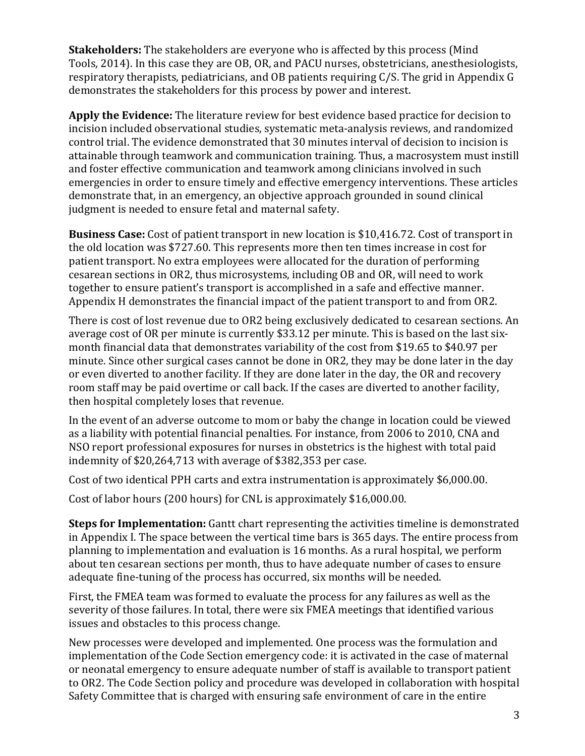Stakeholders: The stakeholders are everyone who is affected by this process (Mind Tools, 2014). In this case they are OB, OR, and PACU nurses, obstetricians, anesthesiologists, respiratory therapists, pediatricians, and OB patients requiring C/S. The grid in Appendix G demonstrates the stakeholders for this process by power and interest.

Apply the Evidence: The literature review for best evidence based practice for decision to incision included observational studies, systematic meta-analysis reviews, and randomized control trial. The evidence demonstrated that 30 minutes interval of decision to incision is attainable through teamwork and communication training. Thus, a macrosystem must instill and foster effective communication and teamwork among clinicians involved in such emergencies in order to ensure timely and effective emergency interventions. These articles demonstrate that, in an emergency, an objective approach grounded in sound clinical judgment is needed to ensure fetal and maternal safety.

Business Case: Cost of patient transport in new location is \$10,416.72. Cost of transport in the old location was \$727.60. This represents more then ten times increase in cost for patient transport. No extra employees were allocated for the duration of performing cesarean sections in OR2, thus microsystems, including OB and OR, will need to work together to ensure patient's transport is accomplished in a safe and effective manner. Appendix H demonstrates the financial impact of the patient transport to and from OR2.

There is cost of lost revenue due to OR2 being exclusively dedicated to cesarean sections. An average cost of OR per minute is currently \$33.12 per minute. This is based on the last sixmonth financial data that demonstrates variability of the cost from \$19.65 to \$40.97 per minute. Since other surgical cases cannot be done in OR2, they may be done later in the day or even diverted to another facility. If they are done later in the day, the OR and recovery room staff may be paid overtime or call back. If the cases are diverted to another facility, then hospital completely loses that revenue.

In the event of an adverse outcome to mom or baby the change in location could be viewed as a liability with potential financial penalties. For instance, from 2006 to 2010, CNA and NSO report professional exposures for nurses in obstetrics is the highest with total paid indemnity of \$20,264,713 with average of \$382,353 per case.

Cost of two identical PPH carts and extra instrumentation is approximately \$6,000.00.

Cost of labor hours (200 hours) for CNL is approximately \$16,000.00.

Steps for Implementation: Gantt chart representing the activities timeline is demonstrated in Appendix I. The space between the vertical time bars is 365 days. The entire process from planning to implementation and evaluation is 16 months. As a rural hospital, we perform about ten cesarean sections per month, thus to have adequate number of cases to ensure adequate fine-tuning of the process has occurred, six months will be needed.

First, the FMEA team was formed to evaluate the process for any failures as well as the severity of those failures. In total, there were six FMEA meetings that identified various issues and obstacles to this process change.

New processes were developed and implemented. One process was the formulation and implementation of the Code Section emergency code: it is activated in the case of maternal or neonatal emergency to ensure adequate number of staff is available to transport patient to OR2. The Code Section policy and procedure was developed in collaboration with hospital Safety Committee that is charged with ensuring safe environment of care in the entire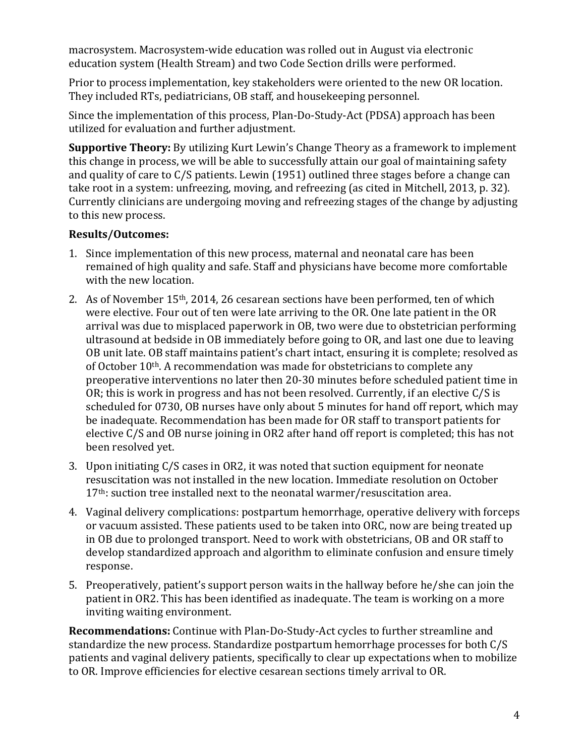macrosystem. Macrosystem-wide education was rolled out in August via electronic education system (Health Stream) and two Code Section drills were performed.

Prior to process implementation, key stakeholders were oriented to the new OR location. They included RTs, pediatricians, OB staff, and housekeeping personnel.

Since the implementation of this process, Plan-Do-Study-Act (PDSA) approach has been utilized for evaluation and further adjustment.

Supportive Theory: By utilizing Kurt Lewin's Change Theory as a framework to implement this change in process, we will be able to successfully attain our goal of maintaining safety and quality of care to C/S patients. Lewin (1951) outlined three stages before a change can take root in a system: unfreezing, moving, and refreezing (as cited in Mitchell, 2013, p. 32). Currently clinicians are undergoing moving and refreezing stages of the change by adjusting to this new process.

#### Results/Outcomes:

- 1. Since implementation of this new process, maternal and neonatal care has been remained of high quality and safe. Staff and physicians have become more comfortable with the new location.
- 2. As of November 15th, 2014, 26 cesarean sections have been performed, ten of which were elective. Four out of ten were late arriving to the OR. One late patient in the OR arrival was due to misplaced paperwork in OB, two were due to obstetrician performing ultrasound at bedside in OB immediately before going to OR, and last one due to leaving OB unit late. OB staff maintains patient's chart intact, ensuring it is complete; resolved as of October 10<sup>th</sup>. A recommendation was made for obstetricians to complete any preoperative interventions no later then 20-30 minutes before scheduled patient time in OR; this is work in progress and has not been resolved. Currently, if an elective C/S is scheduled for 0730, OB nurses have only about 5 minutes for hand off report, which may be inadequate. Recommendation has been made for OR staff to transport patients for elective C/S and OB nurse joining in OR2 after hand off report is completed; this has not been resolved yet.
- 3. Upon initiating C/S cases in OR2, it was noted that suction equipment for neonate resuscitation was not installed in the new location. Immediate resolution on October 17<sup>th</sup>: suction tree installed next to the neonatal warmer/resuscitation area.
- 4. Vaginal delivery complications: postpartum hemorrhage, operative delivery with forceps or vacuum assisted. These patients used to be taken into ORC, now are being treated up in OB due to prolonged transport. Need to work with obstetricians, OB and OR staff to develop standardized approach and algorithm to eliminate confusion and ensure timely response.
- 5. Preoperatively, patient's support person waits in the hallway before he/she can join the patient in OR2. This has been identified as inadequate. The team is working on a more inviting waiting environment.

Recommendations: Continue with Plan-Do-Study-Act cycles to further streamline and standardize the new process. Standardize postpartum hemorrhage processes for both C/S patients and vaginal delivery patients, specifically to clear up expectations when to mobilize to OR. Improve efficiencies for elective cesarean sections timely arrival to OR.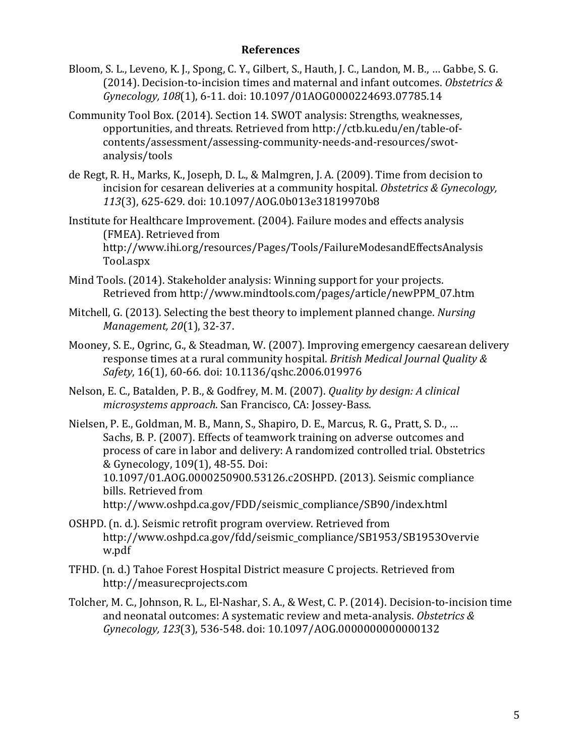#### References

- Bloom, S. L., Leveno, K. J., Spong, C. Y., Gilbert, S., Hauth, J. C., Landon, M. B., … Gabbe, S. G. (2014). Decision-to-incision times and maternal and infant outcomes. Obstetrics  $\&$ Gynecology, 108(1), 6-11. doi: 10.1097/01AOG0000224693.07785.14
- Community Tool Box. (2014). Section 14. SWOT analysis: Strengths, weaknesses, opportunities, and threats. Retrieved from http://ctb.ku.edu/en/table-ofcontents/assessment/assessing-community-needs-and-resources/swotanalysis/tools
- de Regt, R. H., Marks, K., Joseph, D. L., & Malmgren, J. A. (2009). Time from decision to incision for cesarean deliveries at a community hospital. Obstetrics & Gynecology, 113(3), 625-629. doi: 10.1097/AOG.0b013e31819970b8

Institute for Healthcare Improvement. (2004). Failure modes and effects analysis (FMEA). Retrieved from http://www.ihi.org/resources/Pages/Tools/FailureModesandEffectsAnalysis Tool.aspx

- Mind Tools. (2014). Stakeholder analysis: Winning support for your projects. Retrieved from http://www.mindtools.com/pages/article/newPPM\_07.htm
- Mitchell, G. (2013). Selecting the best theory to implement planned change. Nursing Management, 20(1), 32-37.
- Mooney, S. E., Ogrinc, G., & Steadman, W. (2007). Improving emergency caesarean delivery response times at a rural community hospital. British Medical Journal Quality & Safety, 16(1), 60-66. doi: 10.1136/qshc.2006.019976
- Nelson, E. C., Batalden, P. B., & Godfrey, M. M. (2007). Quality by design: A clinical microsystems approach. San Francisco, CA: Jossey-Bass.
- Nielsen, P. E., Goldman, M. B., Mann, S., Shapiro, D. E., Marcus, R. G., Pratt, S. D., … Sachs, B. P. (2007). Effects of teamwork training on adverse outcomes and process of care in labor and delivery: A randomized controlled trial. Obstetrics & Gynecology, 109(1), 48-55. Doi: 10.1097/01.AOG.0000250900.53126.c2OSHPD. (2013). Seismic compliance bills. Retrieved from http://www.oshpd.ca.gov/FDD/seismic\_compliance/SB90/index.html
- OSHPD. (n. d.). Seismic retrofit program overview. Retrieved from http://www.oshpd.ca.gov/fdd/seismic\_compliance/SB1953/SB1953Overvie w.pdf
- TFHD. (n. d.) Tahoe Forest Hospital District measure C projects. Retrieved from http://measurecprojects.com
- Tolcher, M. C., Johnson, R. L., El-Nashar, S. A., & West, C. P. (2014). Decision-to-incision time and neonatal outcomes: A systematic review and meta-analysis. Obstetrics  $\&$ Gynecology, 123(3), 536-548. doi: 10.1097/AOG.0000000000000132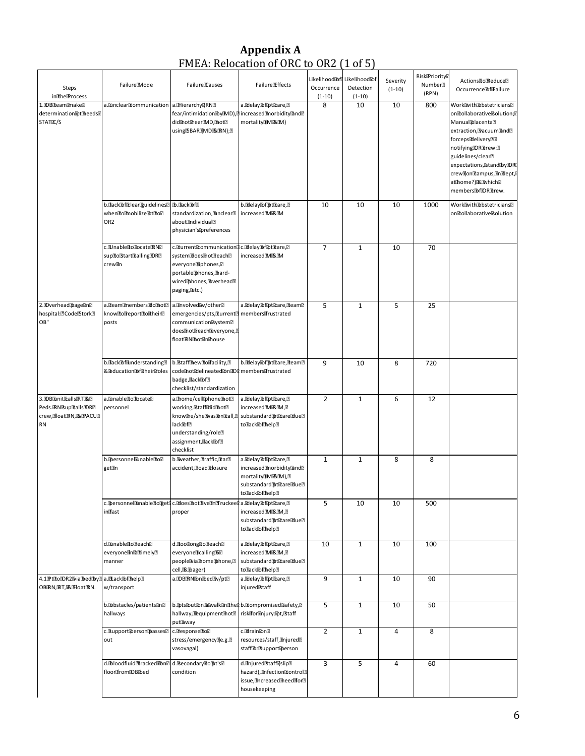#### Appendix A FMEA: Relocation of ORC to OR2 (1 of 5)

| <b>Steps</b><br>indhelProcess                                                           | FailureMode                                                                 | FailuredCauses                                                                                                                                                         | Failure Effects                                                                                                        | Occurrence<br>$(1-10)$ | Likelihood®fd Likelihood®f<br>Detection<br>$(1-10)$ | Severity<br>$(1-10)$ | <b>Risk Priority</b><br>Number <sup>[2]</sup><br>(RPN) | Actions To Reduce?<br>Occurrence of Failure                                                                                                                                                                                                                                            |
|-----------------------------------------------------------------------------------------|-----------------------------------------------------------------------------|------------------------------------------------------------------------------------------------------------------------------------------------------------------------|------------------------------------------------------------------------------------------------------------------------|------------------------|-----------------------------------------------------|----------------------|--------------------------------------------------------|----------------------------------------------------------------------------------------------------------------------------------------------------------------------------------------------------------------------------------------------------------------------------------------|
| 1.00Bliteamlimake<br>determinationbtmeeds?<br>STATIC/S                                  | a.Dunclear®tommunication                                                    | a. Hierarchy RND<br>fear/intimidationbyDMD),<br>did not the ar MD, Inot ?!<br>using!\$BARI(MDi&IRN);??                                                                 | a. Bdelay <b>Ibf</b> [pt Et are, ?]<br>increased@morbidity@and@<br>mortality[Mi 风 M )                                  | 8                      | 10                                                  | 10                   | 800                                                    | Work With Dobstetricians ??<br>onfollaborative Solution;<br>ManualDacenta?<br>extraction, Vacuum and ?!<br>forcepsdelivery32<br>notifyingIDRILrew:2<br>guidelines/clear <sup>®</sup><br>expectations, 3tand by IDRI<br>crew@on@ampus,@n@ept,<br>atthome?)函which图<br>membershflDRitrew. |
|                                                                                         | b.lack@f@lear@uidelines?<br>when Ito Imobilize Ipt Ito 2<br>OR <sub>2</sub> | b.dack@f?<br>standardization, Junclear <sup>®</sup><br>aboutandividuala<br>physician's preferences                                                                     | b.DdelayDofDtDtare,?<br>increasedIMI&IM                                                                                | 10                     | 10                                                  | 10                   | 1000                                                   | WorkWithDbstetricians?<br>ontollaborativeBolution                                                                                                                                                                                                                                      |
|                                                                                         | c.LInabledtodocateRN2<br>supholstarticalling IDRE<br>crewiin                | c. turrent tommunication<br>systemIdoesihotireach?<br>everyonediphones, <sup>2</sup><br>portable phones, thard-<br>wired phones, Doverhead ??<br>paging, Letc.)        | c. delay@f@tfcare,?<br>increasedIMI&IM                                                                                 | 7                      | $\mathbf{1}$                                        | 10                   | 70                                                     |                                                                                                                                                                                                                                                                                        |
| 2.00verhead@bageDnD<br>hospital: d'Code Stork <sup>2</sup><br>OB"                       | a.leam@nembers@lo@not@<br>know do Teport do Their?<br>posts                 | a. Involved Bw/other?<br>emergencies/pts, turrent?<br>communication <sup>3</sup> ystem <sup>2</sup><br>does not Treach Teveryone, ??<br>float®N®hot®n®house            | a. delay of ottrare, iteam?<br>membersfrustrated                                                                       | 5                      | $\mathbf{1}$                                        | 5                    | 25                                                     |                                                                                                                                                                                                                                                                                        |
|                                                                                         | b.Dack®flunderstanding?<br>& Deducation To fitheir Troles                   | b. Staff hew doffacility, ?!<br>codemotidelineatedionaDi<br>badge, dack@f?<br>checklist/standardization                                                                | b. Bilelay Bof Bot Brane, Fream ??<br>membersfrustrated                                                                | 9                      | 10                                                  | 8                    | 720                                                    |                                                                                                                                                                                                                                                                                        |
| 3.DBBunitRallsRTI&D<br>Peds. RNBup Etalls DRE<br>crew, float RN, 吸 PACU ?!<br><b>RN</b> | a. Junable dodocate?<br>personnel                                           | a.thome/cellphonemot?<br>working, BtaffBdid Thot ??<br>knowlhe/shellwasibnitall,<br>lack®f?<br>understanding/role <sup>[2]</sup><br>assignment, flack[bf]<br>checklist | a. delay of other are, ?<br>increasedIMI服IM, ?<br>substandard pticare due!<br>todack@fthelp?                           | $\overline{2}$         | $\mathbf{1}$                                        | 6                    | 12                                                     |                                                                                                                                                                                                                                                                                        |
|                                                                                         | b.Dersonnellunabledo?<br>getan                                              | b. Weather, Etraffic, Etar <sup>2</sup><br>accident, Broad Losure                                                                                                      | a. delay of other are, ?<br>increased?morbidity?and?<br>mortalityIMI跟IM),2<br>substandard動tLareIdue?<br>todack@ffhelp? | 1                      | $\mathbf{1}$                                        | 8                    | 8                                                      |                                                                                                                                                                                                                                                                                        |
|                                                                                         | inflast                                                                     | c. Dersonnel Dunable To gett c. Does Thot Divern Truckee   a. Delay Difpt Dare, ?<br>proper                                                                            | increased MI&IM, ?<br>substandard [bticare [blue ]<br>todack@ffhelp?                                                   | 5                      | 10                                                  | 10                   | 500                                                    |                                                                                                                                                                                                                                                                                        |
|                                                                                         | d.Dunable do Deach<br>everyonelinatimely?<br>manner                         | d. toollong to Teach?<br>everyonedcalling 30<br>people Via home phone, ??<br>cell, 图 (The ager)                                                                        | a. delay of other are, ?<br>increased MI&IM, ?<br>substandard取tltareIdue?<br>todack@fthelp?                            | 10                     | $\mathbf{1}$                                        | 10                   | 100                                                    |                                                                                                                                                                                                                                                                                        |
| 4.1PtitoDR2Diabedby2<br>OBIRN, IRT, 函FloatIRN.                                          | a. 图ack函f fhelp?<br>w/transport                                             | a.DBERNDnDedDv/pt2                                                                                                                                                     | a. delay of other are, ?<br>injured <b>Btaff</b>                                                                       | 9                      | $\mathbf{1}$                                        | 10                   | 90                                                     |                                                                                                                                                                                                                                                                                        |
|                                                                                         | b.Dbstacles/patientsin?<br>hallways                                         | b. Dts Dut Dn Zu Walk In The<br>hallway,歴quipmentmot?<br>putaway                                                                                                       | b. Crompromised Bafety, ?<br>risklioranjury: apt, staff                                                                | 5                      | $\mathbf{1}$                                        | 10                   | 50                                                     |                                                                                                                                                                                                                                                                                        |
|                                                                                         | c.BupportDersonDasses?<br>out                                               | c. Tesponse To?<br>stress/emergency@e.g.?<br>vasovagal)                                                                                                                | c.歐rain函n图<br>resources/staff, anjured <sup>®</sup><br>staff®r®upport®erson                                            | $\overline{2}$         | $\mathbf{1}$                                        | 4                    | 8                                                      |                                                                                                                                                                                                                                                                                        |
|                                                                                         | d. bloodfluidnrackedmn?<br>floorffromDBibed                                 | d. Becondary Holpt's?<br>condition                                                                                                                                     | d.anjured&taff@slip?<br>hazard), Infection Rontrol®<br>issue, ancreased aheed afor?<br>housekeeping                    | 3                      | 5                                                   | 4                    | 60                                                     |                                                                                                                                                                                                                                                                                        |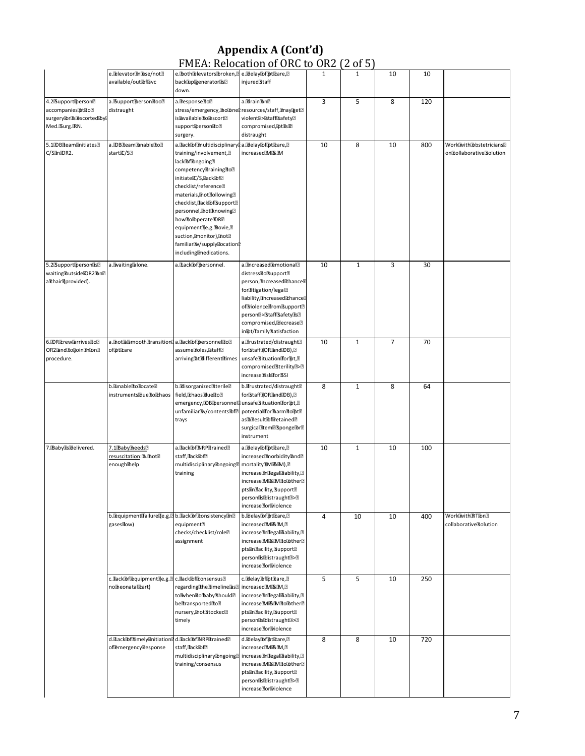#### Appendix A (Cont'd) FMEA: Relocation of ORC to OR2 (2 of 5)

|                                                                                      | e. Delevator finalise/not<br>available/out動fsvc                          | e.both Delevators broken, 2 e.Delay Difiptitare, 2<br>backlup@eneratorlis?<br>down.                                                                                                                                                                                                                                                                                                                                        | injured <sup>3</sup> taff                                                                                                                                                                                                                                                       | 1  | $\mathbf{1}$ | 10             | 10  |                                                        |
|--------------------------------------------------------------------------------------|--------------------------------------------------------------------------|----------------------------------------------------------------------------------------------------------------------------------------------------------------------------------------------------------------------------------------------------------------------------------------------------------------------------------------------------------------------------------------------------------------------------|---------------------------------------------------------------------------------------------------------------------------------------------------------------------------------------------------------------------------------------------------------------------------------|----|--------------|----------------|-----|--------------------------------------------------------|
| 4.25SupportDerson<br>accompanies®tLo®<br>surgery®rills®scorted®byl<br>Med. Surg. RN. | a. Support Derson Too!<br>distraught                                     | a. Tesponsello?<br>stress/emergency, ho bnel<br>isDavailablelloDescort2<br>support@ersondo?<br>surgery.                                                                                                                                                                                                                                                                                                                    | a.@rain@n@<br>resources/staff, maynget?<br>violent <sup>3</sup> >Staff3afety?<br>compromised, 取t is面<br>distraught                                                                                                                                                              | 3  | 5            | 8              | 120 |                                                        |
| 5.100Bleamanitiates<br>C/SEInEOR2.                                                   | a.IDBIteamBunableIto?<br>startIC/SE                                      | a.dack®f®nultidisciplinary®<br>training/involvement, <sup>[9]</sup><br>lack®f®ngoing?<br>competency Training To?<br>initiatelC/S, dack@f@<br>checklist/reference <sup>®</sup><br>materials, anot following?<br>checklist, Back @f Bupport<br>personnel, anot knowing?<br>how do Obperate DRE<br>equipmentae.g. Bovie, ??<br>suction, Imonitor), Inot <sup>2</sup><br>familiar Wy/supply docation<br>including@medications. | a. delay bf pticare, ?<br>increasedIMI&IM                                                                                                                                                                                                                                       | 10 | 8            | 10             | 800 | WorkWithBbbstetricians?<br>on Tollaborative Solution   |
| 5.25SupportDersonase<br>waiting®utside®R2®n?<br>althairdprovided).                   | a. Waiting alone.                                                        | a.LackDfDersonnel.                                                                                                                                                                                                                                                                                                                                                                                                         | a. Increased Eemotional ?!<br>distressitoBupport <sup>®</sup><br>person, ancreased Tchance?<br>forditigation/legal?<br>liability, ancreased thance?<br>of Violence from Bupport?<br>person <sup>3</sup> >StaffSafety3s?<br>compromised, decrease?<br>in [bt/family Batisfaction | 10 | $1\,$        | 3              | 30  |                                                        |
| 6.DREtrewParrivesHo?<br>OR2@ndfto@oin@n@n@<br>procedure.                             | a. Inot a Bmooth Iransition a. Ilack Ibf Dersonnel Io ?!<br>ofptttare    | assume Toles, Staff?<br>arriving随tdifferenttimes                                                                                                                                                                                                                                                                                                                                                                           | a.frustrated/distraught <sup>2</sup><br>for®taff@OR®and®DB),@<br>unsafe®ituationfor®t, <sup>2</sup><br>compromised&terility?>?<br>increase aiska ortsSI                                                                                                                         | 10 | $\mathbf{1}$ | $\overline{7}$ | 70  |                                                        |
|                                                                                      | b.anableaodocate?<br>instruments動uetoDhaos field, DhaosDueDo图            | b.alisorganized<br><b>Sterile</b><br>2<br>emergency, IDB@ersonnel<br>unfamiliar Wy/contents bf?<br>trays                                                                                                                                                                                                                                                                                                                   | b. frustrated/distraught <sup>®</sup><br>for®taff@OR®and®DB),@<br>unsafe®ituationfor®t,2<br>potentialdfortharmdtomt?<br>as函图esult函f@etained图<br>surgicalitem <sup>3</sup> spongelbr?<br>instrument                                                                              | 8  | $\mathbf{1}$ | 8              | 64  |                                                        |
| 7. Baby Is delivered.                                                                | 7.1BabyTheeds?<br><u>resuscitation</u> :ඹ.ඹot ?<br>enoughthelp           | a.DackDfDNRPDtrained?<br>staff,llacklibf?<br>multidisciplinary®ngoing?<br>training                                                                                                                                                                                                                                                                                                                                         | a. delay of other are, ?<br>increased?morbidity?and?<br>mortality[Mi&M),2<br>increase and egaldiability,<br>increaseIMi&IMitoIbther?<br>pts@n@acility,@upport@<br>personasadistraught 3>2<br>increaseffor@iolence                                                               | 10 | $\mathbf{1}$ | 10             | 100 |                                                        |
|                                                                                      | b. Dequipment failurede.g. 2 b. dack @f tonsistency and<br>gases dow)    | equipment <sup>2</sup><br>checks/checklist/role <sup>[2]</sup><br>assignment                                                                                                                                                                                                                                                                                                                                               | b. delay @f@tftare,?<br>increased MI&IM, ?<br>increase an alegalaia bility, ??<br>increaseIMi&IMitolbther?<br>pts@n@acility, &upport<br>personasadistraughta>2<br>increase for Niolence                                                                                         | 4  | 10           | 10             | 400 | WorkBvithBRTEbn2<br>collaborative <sup>3</sup> olution |
|                                                                                      | c.dack®flequipment@e.g.@ c.dack®fltonsensus@<br>nolheonatalitart)        | regardinghechimeline@s2<br>to When Lo baby Should ?<br>beltransporteditol<br>nursery, Inot Btocked?<br>timely                                                                                                                                                                                                                                                                                                              | c. delay lof lot licare, ?<br>increasedIMI&IM,2<br>increase an alegalaia bility, ??<br>increaseMi&iMitobther?<br>ptsanaacility, support <sup>2</sup><br>personasadistraught 3>2<br>increased or Violence                                                                        | 5  | 5            | 10             | 250 |                                                        |
|                                                                                      | d.LackDfiltimelyfinitiationad.LackDffINRPEtrained<br>of@mergency@esponse | staff,Lack函f?<br>multidisciplinary®ngoing?<br>training/consensus                                                                                                                                                                                                                                                                                                                                                           | d.@elay@f@tftare,@<br>increased3M3&3M,2<br>increase and egaldiability, ??<br>increaseMi&iMitoibther?<br>pts@nffacility, Bupport <sup>®</sup><br>personasadistraughta>2<br>increase for Niolence                                                                                 | 8  | 8            | 10             | 720 |                                                        |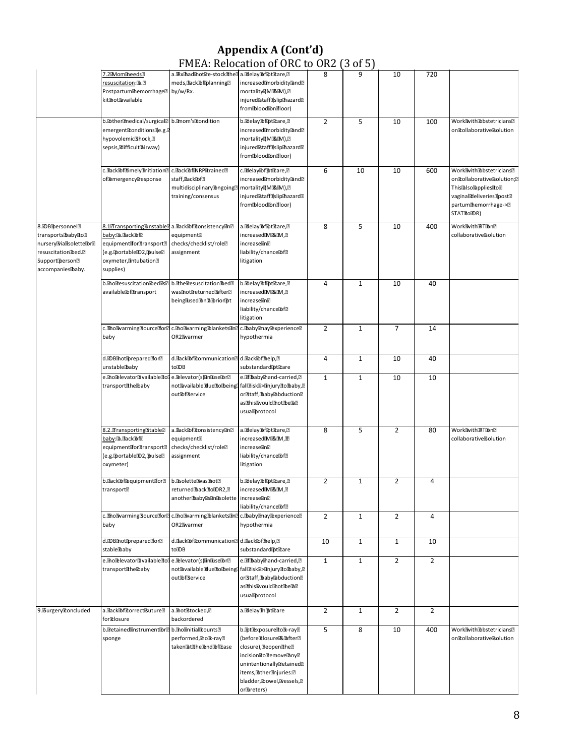#### Appendix A (Cont'd) FMEA: Relocation of ORC to OR2 (3 of 5)

|                                                                                                                                           |                                                                                                                                                        | There is the call of                                                                                     |                                                                                                                                                                                                                                                  |                |              |                |                |                                                                                                                                                                                                     |
|-------------------------------------------------------------------------------------------------------------------------------------------|--------------------------------------------------------------------------------------------------------------------------------------------------------|----------------------------------------------------------------------------------------------------------|--------------------------------------------------------------------------------------------------------------------------------------------------------------------------------------------------------------------------------------------------|----------------|--------------|----------------|----------------|-----------------------------------------------------------------------------------------------------------------------------------------------------------------------------------------------------|
|                                                                                                                                           | 7.2Mommeeds?<br>resuscitation: 2. 2<br>Postpartumthemorrhage <sup>®</sup><br>kithotavailable                                                           | a. Rxhad not re-stock the a. Bdelay Doffpt Dare, 2<br>meds, dack@f@lanning?<br>by/w/Rx.                  | increased@morbidity@and@<br>mortality[[MJ&IM], ?<br>injured<br>staff<br>Injured<br><br>Injured<br><br>Let<br>Injured<br>Let<br>Injured<br>Let<br>Injured<br>Let<br>Injured<br>Let<br>Injured<br>Let<br>Injured<br>Let<br>I<br>frombloodbnilloor) | 8              | 9            | 10             | 720            |                                                                                                                                                                                                     |
|                                                                                                                                           | b. @ther@nedical/surgical? b.@nom's@condition<br>emergent@onditions@e.g.?<br>hypovolemic <sup>3</sup> hock, <sup>2</sup><br>sepsis, alifficult airway) |                                                                                                          | b. delay of ottare, ?<br>increased@morbidity@and@<br>mortality[MJ&IM), ?<br>injured<br>staff@slip@hazard<br>2019<br>frombloodbnilloor)                                                                                                           | $\overline{2}$ | 5            | 10             | 100            | WorkWithDbstetricians?<br>oncollaborativesolution                                                                                                                                                   |
|                                                                                                                                           | c.DackDofDtimelyDnitiation<br>of®mergency®esponse                                                                                                      | c.DackDofDNRPDtrained?<br>staff, dack的f?<br>multidisciplinary@ngoing?<br>training/consensus              | c. Bilelay <b>Tof Tot Trane</b> , 2<br>increased morbidity and ?!<br>mortality[[Mi&iM], ?<br>injuredhtaff@slipmazard?<br>frombloodbnilloor)                                                                                                      | 6              | 10           | 10             | 600            | WorkWithDbstetricians?<br>on Tollaborative Solution; ??<br>This <sup>2</sup> also <sup>2</sup> applies <sup>1</sup> o <sup>2</sup><br>vaginaldeliveries@post?<br>partum themorrhage->?<br>STATRODR) |
| 8.DBDersonnel?<br>transportshaabyho?<br>nurseryMiallsolettelbr?<br>resuscitation的ed.2<br>Supportiperson <sup>®</sup><br>accompanies baby. | 8.1TransportingTunstable<br>baby:函.llacklof@<br>equipmentforttransport<br>(e.g. portable D2, pulse?<br>oxymeter, antubation <sup>®</sup><br>supplies)  | a.lackibfitonsistencyan?<br>equipment <sup>®</sup><br>checks/checklist/role <sup>[2]</sup><br>assignment | a.MelayTofTptTtare,?<br>increasedIMI&IM,2<br>increasedin?<br>liability/chance的f2<br>litigation                                                                                                                                                   | 8              | 5            | 10             | 400            | WorkWithRTDn?<br>collaborative <sup>3</sup> olution                                                                                                                                                 |
|                                                                                                                                           | b. holdesuscitation bed is?<br>available面ftransport                                                                                                    | b.athe@esuscitation@ed@<br>was hot returned after ?!<br>beinglused Inla prior of                         | b.adlayabfattare,<br>increased MI&IM, ?<br>increaselin?<br>liability/chance面f?<br>litigation                                                                                                                                                     | 4              | $\mathbf{1}$ | 10             | 40             |                                                                                                                                                                                                     |
|                                                                                                                                           | c. Eno Warming Bource For ?!<br>baby                                                                                                                   | c. Bho Marming blankets and c. baby may rexperience<br>OR2 <sup>a</sup> warmer                           | hypothermia                                                                                                                                                                                                                                      | $\overline{2}$ | $\mathbf{1}$ | $\overline{7}$ | 14             |                                                                                                                                                                                                     |
|                                                                                                                                           | d.DB hot prepared for ?!<br>unstablebaby                                                                                                               | d.dack®fitommunication2 d.dack®fihelp,2<br>toDB                                                          | substandardptteare                                                                                                                                                                                                                               | 4              | $\mathbf 1$  | 10             | 40             |                                                                                                                                                                                                     |
|                                                                                                                                           | e.lholelevatorlavailableltolie.lelevator(s)linlluselbr의<br>transportihe baby                                                                           | out面fiservice                                                                                            | e. Thaby thand-carried, ?!<br>not@vailable@ue@o@being다fall@isk@>@njury@o@baby,@<br>orlstaff,lbaby@bduction@<br>asthisavouldmottbe函图<br>usual protocol                                                                                            | $\mathbf{1}$   | $\mathbf{1}$ | 10             | 10             |                                                                                                                                                                                                     |
|                                                                                                                                           | 8.2. Transporting 3table<br>baby:函.dack函f2<br>equipmentfordtransport <sup>®</sup><br>(e.g.@ortable@2,@ulse?<br>oxymeter)                               | a.dack@fitonsistency@n@<br>equipment <sup>®</sup><br>checks/checklist/role <sup>[2]</sup><br>assignment  | a. delay of Tot Chare, ?<br>increased3M3&3M, 图<br>increasedin?<br>liability/chance面f?<br>litigation                                                                                                                                              | 8              | 5            | $\overline{2}$ | 80             | WorkWithRTDn?<br>collaborative <sup>3</sup> olution                                                                                                                                                 |
|                                                                                                                                           | b.dack的f@quipmentfor?<br>transport <sup>®</sup>                                                                                                        | b. Isolette Was Thot ?!<br>returnedbackloIDR2,2<br>anotherbaby disant solette increase and               | b.BilelayDofDptDtare,?<br>increased MI&IM, ?<br>liability/chance®f?                                                                                                                                                                              | $\overline{2}$ | $\mathbf{1}$ | $\overline{2}$ | 4              |                                                                                                                                                                                                     |
|                                                                                                                                           | c. Tho Ivarming Bource for ?!<br>baby                                                                                                                  | c. Bho Warming blankets and c. baby anay Bexperience<br>OR2 <sup>a</sup> warmer                          | hypothermia                                                                                                                                                                                                                                      | $\overline{2}$ | $\mathbf{1}$ | $\overline{2}$ | 4              |                                                                                                                                                                                                     |
|                                                                                                                                           | d.DBIhotDpreparedfor?<br>stable®aby                                                                                                                    | d. lack@fitommunication?<br>toDB                                                                         | d.dack@fthelp,?<br>substandard@tltare                                                                                                                                                                                                            | 10             | $\mathbf{1}$ | $\mathbf{1}$   | 10             |                                                                                                                                                                                                     |
|                                                                                                                                           | e.@ho@levator@vailable@ol e.@levator(s)@n@use@r@<br>transportihe baby                                                                                  | outlofservice                                                                                            | e. Thaby thand-carried, ?<br>not@vailable@ueLobeingl fall@isk@>@njuryLobaby,@<br>or&taff, baby @bduction<br>asthisavouldmottbe函图<br>usualDprotocol                                                                                               | $\mathbf{1}$   | $\mathbf{1}$ | $\overline{2}$ | $\overline{2}$ |                                                                                                                                                                                                     |
| 9. Burgery Roncluded                                                                                                                      | a.dack@fitorrectButure?<br>for��losure                                                                                                                 | a. Thot Stocked, ?<br>backordered                                                                        | a.Ddelayiinibtitare                                                                                                                                                                                                                              | $\overline{2}$ | $\mathbf{1}$ | $\overline{2}$ | $\overline{2}$ |                                                                                                                                                                                                     |
|                                                                                                                                           | b. Tetained Instrument Toral b. Inolinitial Trounts ?!<br>sponge                                                                                       | performed, no x-ray?<br>taken@tDhe@end@f@tase                                                            | b. ht lexposure dolla-ray?<br>(before配losurei配面fter图<br>closure), Breopen The?<br>incisioniioliemoveany?<br>unintentionally@etained?<br>items, <b>I</b> bther <b>anjuries</b> : 2<br>bladder, [bowel, [bressels, [?]<br>orlureters)              | 5              | 8            | 10             | 400            | WorkWithDbstetricians<br>on Tollaborative Solution                                                                                                                                                  |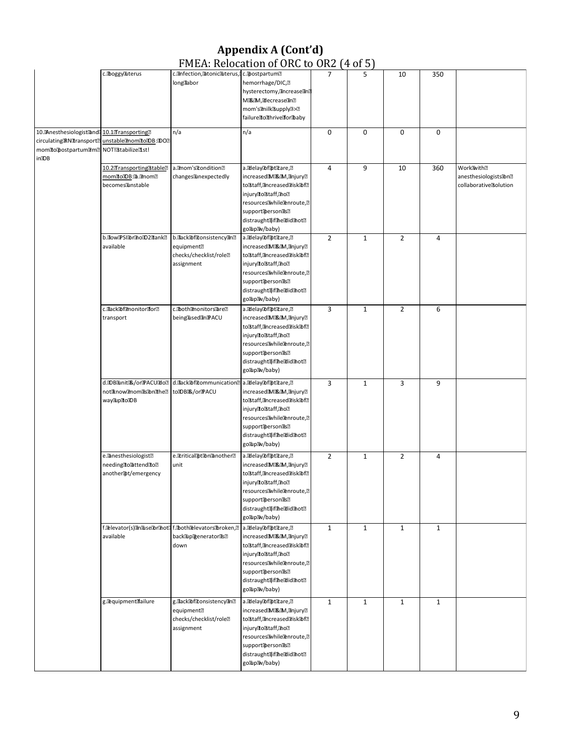#### Appendix A (Cont'd) FMEA: Relocation of ORC to OR2 (4 of 5)

|                                            |                                                                 |                                                     | $\ldots$                                                                                                                                                                       |                |              |                |              |                                  |
|--------------------------------------------|-----------------------------------------------------------------|-----------------------------------------------------|--------------------------------------------------------------------------------------------------------------------------------------------------------------------------------|----------------|--------------|----------------|--------------|----------------------------------|
|                                            | c. boggyauterus                                                 | c.@nfection,@tonic@terus,Lc.@ostpartum@             |                                                                                                                                                                                | 7              | 5            | 10             | 350          |                                  |
|                                            |                                                                 | longdabor                                           | hemorrhage/DIC, <sup>2</sup>                                                                                                                                                   |                |              |                |              |                                  |
|                                            |                                                                 |                                                     | hysterectomy, ancrease and                                                                                                                                                     |                |              |                |              |                                  |
|                                            |                                                                 |                                                     | Mi&iM, idecrease in ?!                                                                                                                                                         |                |              |                |              |                                  |
|                                            |                                                                 |                                                     |                                                                                                                                                                                |                |              |                |              |                                  |
|                                            |                                                                 |                                                     | mom's@milkBupply@>@                                                                                                                                                            |                |              |                |              |                                  |
|                                            |                                                                 |                                                     | failure dothrive for baby                                                                                                                                                      |                |              |                |              |                                  |
|                                            |                                                                 |                                                     |                                                                                                                                                                                |                |              |                |              |                                  |
| 10. Anesthesiologist and 10.1 Transporting |                                                                 | n/a                                                 | n/a                                                                                                                                                                            | $\pmb{0}$      | 0            | 0              | $\pmb{0}$    |                                  |
|                                            | circulating RN dransport <sup>2</sup> unstable mom do DB: DO ?? |                                                     |                                                                                                                                                                                |                |              |                |              |                                  |
| momdopostpartum@mD                         | NOT!Btabilize?1st!                                              |                                                     |                                                                                                                                                                                |                |              |                |              |                                  |
| inDB                                       |                                                                 |                                                     |                                                                                                                                                                                |                |              |                |              |                                  |
|                                            | 10.2 Transporting 3table                                        | a. Imom's Rondition?                                | a. delay of pticare, ??                                                                                                                                                        | $\overline{4}$ | 9            | 10             | 360          | WorkWith?                        |
|                                            | momdoDB: a.amoma                                                |                                                     |                                                                                                                                                                                |                |              |                |              |                                  |
|                                            |                                                                 | changesanexpectedly                                 | increased3M3&3M,3injury图                                                                                                                                                       |                |              |                |              | anesthesiologists<br>3<br>n<br>2 |
|                                            | becomesanstable                                                 |                                                     | tolstaff, ancreased arisk @f@                                                                                                                                                  |                |              |                |              | collaborative Bolution           |
|                                            |                                                                 |                                                     | injurydoßtaff, no?                                                                                                                                                             |                |              |                |              |                                  |
|                                            |                                                                 |                                                     | resources While Penroute, ?                                                                                                                                                    |                |              |                |              |                                  |
|                                            |                                                                 |                                                     | support的erson配                                                                                                                                                                 |                |              |                |              |                                  |
|                                            |                                                                 |                                                     | distraught国iffhe配idmot图                                                                                                                                                        |                |              |                |              |                                  |
|                                            |                                                                 |                                                     |                                                                                                                                                                                |                |              |                |              |                                  |
|                                            |                                                                 |                                                     | golluplav/baby)                                                                                                                                                                |                |              |                |              |                                  |
|                                            | b.dow@SI@r@o@2@ank?                                             | b.Dack®fitonsistency@n@                             | a. delay of pticare, ?                                                                                                                                                         | $\overline{2}$ | $1\,$        | $\overline{2}$ | 4            |                                  |
|                                            | available                                                       | equipment <sup>®</sup>                              | increased图M3&图M,图njury图                                                                                                                                                        |                |              |                |              |                                  |
|                                            |                                                                 | checks/checklist/role <sup>[2]</sup>                | tolstaff, ancreased arisk @f?                                                                                                                                                  |                |              |                |              |                                  |
|                                            |                                                                 | assignment                                          | injuryCoßtaff,@no@                                                                                                                                                             |                |              |                |              |                                  |
|                                            |                                                                 |                                                     | resourcesawhile@enroute,@                                                                                                                                                      |                |              |                |              |                                  |
|                                            |                                                                 |                                                     |                                                                                                                                                                                |                |              |                |              |                                  |
|                                            |                                                                 |                                                     | support@ersonds?                                                                                                                                                               |                |              |                |              |                                  |
|                                            |                                                                 |                                                     | distraught国iffhe配idmot图                                                                                                                                                        |                |              |                |              |                                  |
|                                            |                                                                 |                                                     | golluplaw/baby)                                                                                                                                                                |                |              |                |              |                                  |
|                                            | c.dack@f@nonitordor@                                            | c.fboth@nonitors@re?                                | a. delay of pticare, ?                                                                                                                                                         | 3              | $\mathbf{1}$ | $\overline{2}$ | 6            |                                  |
|                                            |                                                                 |                                                     |                                                                                                                                                                                |                |              |                |              |                                  |
|                                            | transport                                                       | beinglusedinmPACU                                   | increased3M3&3M,3injury2                                                                                                                                                       |                |              |                |              |                                  |
|                                            |                                                                 |                                                     | tolstaff, ancreased arisk @f?                                                                                                                                                  |                |              |                |              |                                  |
|                                            |                                                                 |                                                     | injuryllolstaff, holl                                                                                                                                                          |                |              |                |              |                                  |
|                                            |                                                                 |                                                     | resources While @enroute, ?                                                                                                                                                    |                |              |                |              |                                  |
|                                            |                                                                 |                                                     | supportDersonlisl?                                                                                                                                                             |                |              |                |              |                                  |
|                                            |                                                                 |                                                     | distraught国iffhe配idmot图                                                                                                                                                        |                |              |                |              |                                  |
|                                            |                                                                 |                                                     |                                                                                                                                                                                |                |              |                |              |                                  |
|                                            |                                                                 |                                                     | golluplaw/baby)                                                                                                                                                                |                |              |                |              |                                  |
|                                            | d.IDBEuniti跟/oriPACU配o?                                         | d.flack@flitommunication?                           | a. delay of ottare, a                                                                                                                                                          | 3              | $1\,$        | 3              | 9            |                                  |
|                                            | notiknow@nom@s@n@he@                                            | to DBI&/or PACU                                     | increased3M3&3M,3injury2                                                                                                                                                       |                |              |                |              |                                  |
|                                            |                                                                 |                                                     |                                                                                                                                                                                |                |              |                |              |                                  |
|                                            | wayEupEtoIDB                                                    |                                                     | tolstaff, ancreased arisk @f?                                                                                                                                                  |                |              |                |              |                                  |
|                                            |                                                                 |                                                     | injuryllolstaff, anol?                                                                                                                                                         |                |              |                |              |                                  |
|                                            |                                                                 |                                                     | resources While Denroute, ?                                                                                                                                                    |                |              |                |              |                                  |
|                                            |                                                                 |                                                     | support@erson@sm                                                                                                                                                               |                |              |                |              |                                  |
|                                            |                                                                 |                                                     | distraught面fthe配idmot图                                                                                                                                                         |                |              |                |              |                                  |
|                                            |                                                                 |                                                     | golluplaw/baby)                                                                                                                                                                |                |              |                |              |                                  |
|                                            |                                                                 |                                                     |                                                                                                                                                                                |                |              |                |              |                                  |
|                                            | e. <sup>2</sup> anesthesiologist <sup>®</sup>                   | e. Eritical [bt Ton Banother <sup>[2]</sup>         | a. delay of pticare, ?                                                                                                                                                         | $\overline{2}$ | $\mathbf{1}$ | $\overline{2}$ | 4            |                                  |
|                                            | needing to attend to ?                                          | unit                                                | increasedIMI&IM, injury <sub>2</sub>                                                                                                                                           |                |              |                |              |                                  |
|                                            | another <sup>t</sup> ot/emergency                               |                                                     | toßtaff,@increased@isk@rf@                                                                                                                                                     |                |              |                |              |                                  |
|                                            |                                                                 |                                                     |                                                                                                                                                                                |                |              |                |              |                                  |
|                                            |                                                                 |                                                     | injuryllolstaff, hol                                                                                                                                                           |                |              |                |              |                                  |
|                                            |                                                                 |                                                     | resources While Lenroute, ?                                                                                                                                                    |                |              |                |              |                                  |
|                                            |                                                                 |                                                     | support@erson@s?                                                                                                                                                               |                |              |                |              |                                  |
|                                            |                                                                 |                                                     | distraught国iffhe配idfhot图                                                                                                                                                       |                |              |                |              |                                  |
|                                            |                                                                 |                                                     | golluplaw/baby)                                                                                                                                                                |                |              |                |              |                                  |
|                                            |                                                                 |                                                     |                                                                                                                                                                                |                |              |                |              |                                  |
|                                            |                                                                 | f.Delevator(s)@n@use@r@not@f.@both@levators@roken,@ | a. delay of pticare, ?                                                                                                                                                         | $\mathbf{1}$   | $\mathbf{1}$ | $\mathbf{1}$   | $\mathbf{1}$ |                                  |
|                                            | available                                                       | backlup取eneratoris2                                 | increased3M3&3M,3injury@                                                                                                                                                       |                |              |                |              |                                  |
|                                            |                                                                 | down                                                | tolstaff, ancreased arisk abfa                                                                                                                                                 |                |              |                |              |                                  |
|                                            |                                                                 |                                                     | injurylloßtaff, hol?                                                                                                                                                           |                |              |                |              |                                  |
|                                            |                                                                 |                                                     | resources While Lenroute, ?                                                                                                                                                    |                |              |                |              |                                  |
|                                            |                                                                 |                                                     |                                                                                                                                                                                |                |              |                |              |                                  |
|                                            |                                                                 |                                                     | support@erson@s?                                                                                                                                                               |                |              |                |              |                                  |
|                                            |                                                                 |                                                     | distraught国iffhe配idmot图                                                                                                                                                        |                |              |                |              |                                  |
|                                            |                                                                 |                                                     | golluplaw/baby)                                                                                                                                                                |                |              |                |              |                                  |
|                                            |                                                                 |                                                     |                                                                                                                                                                                | $\mathbf{1}$   |              |                |              |                                  |
|                                            | g.@quipmentfailure                                              | g.dack@fitonsistency@n@                             | a. delay af pticare, ?                                                                                                                                                         |                | $\mathbf{1}$ | $\mathbf{1}$   | $\mathbf{1}$ |                                  |
|                                            |                                                                 | equipment <sup>®</sup>                              | increased3M3&3M,3injury2                                                                                                                                                       |                |              |                |              |                                  |
|                                            |                                                                 | checks/checklist/role <sup>[2]</sup>                | to staff, ancreased aisk @f?                                                                                                                                                   |                |              |                |              |                                  |
|                                            |                                                                 | assignment                                          | injury do Staff, ano ?!                                                                                                                                                        |                |              |                |              |                                  |
|                                            |                                                                 |                                                     | resources<br><br>resources<br><br>resources<br><br>Tesources<br><br>Tesources<br>Tesources<br>Tesources<br>Tesources<br>Tesources<br>Tesources<br>Tesources<br>Tesources<br>Te |                |              |                |              |                                  |
|                                            |                                                                 |                                                     | support@erson@s?                                                                                                                                                               |                |              |                |              |                                  |
|                                            |                                                                 |                                                     |                                                                                                                                                                                |                |              |                |              |                                  |
|                                            |                                                                 |                                                     | distraught面fthe配idmot图                                                                                                                                                         |                |              |                |              |                                  |
|                                            |                                                                 |                                                     | golluplav/baby)                                                                                                                                                                |                |              |                |              |                                  |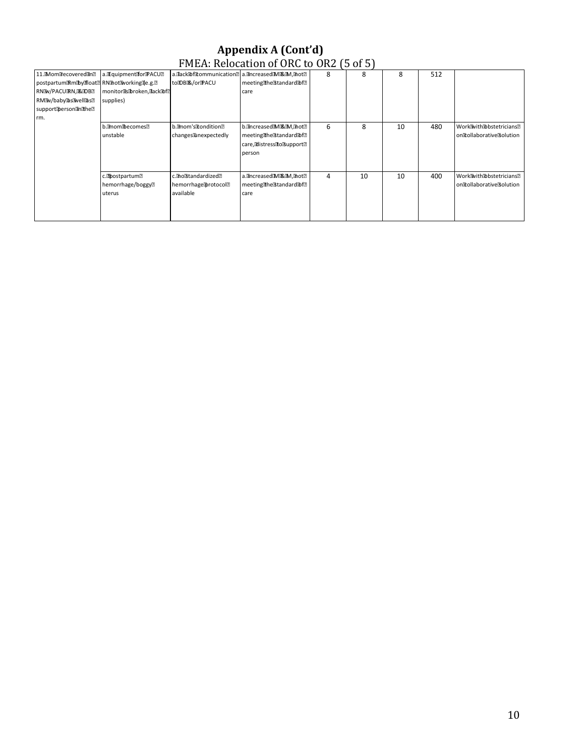#### Appendix A (Cont'd) FMEA: Relocation of ORC to OR2 (5 of 5)

|                                                          |                                 |                       | $1.712111110000010110101010000112100101$        |   |    |    |     |                          |
|----------------------------------------------------------|---------------------------------|-----------------------|-------------------------------------------------|---|----|----|-----|--------------------------|
| 11. MomBecoveredin?                                      | a. TrquipmentaorPACU?           |                       | a.lack面fitommunication2 a.increasediMi&iM, not2 | 8 | 8  | 8  | 512 |                          |
| postpartumERmEbyEfloat <sup>2</sup> RNEhotEvorkingEe.g.2 |                                 | toIDBI&/oriPACU       | meetingTheBtandardDf2                           |   |    |    |     |                          |
| RNEW/PACUERN, E& EOBE                                    | monitorikibroken, lackibf2      |                       | care                                            |   |    |    |     |                          |
| RMBv/baby函sBwell函sD                                      | supplies)                       |                       |                                                 |   |    |    |     |                          |
| support@erson@n@he?                                      |                                 |                       |                                                 |   |    |    |     |                          |
| rm.                                                      |                                 |                       |                                                 |   |    |    |     |                          |
|                                                          | b.@mom@becomes?                 | b. Imom's Itondition? | b. ancreased Mi& M. anot ?!                     | 6 | 8  | 10 | 480 | WorkWithDbstetricians?   |
|                                                          | unstable                        | changes linexpectedly | meetinghestandard@f?                            |   |    |    |     | oncollaborativeBolution  |
|                                                          |                                 |                       | care, distressionsupport                        |   |    |    |     |                          |
|                                                          |                                 |                       | person                                          |   |    |    |     |                          |
|                                                          |                                 |                       |                                                 |   |    |    |     |                          |
|                                                          |                                 |                       |                                                 |   |    |    |     |                          |
|                                                          | c. Postpartum?                  | c. molstandardized?   | a.increasediMi忍im,inot?                         | 4 | 10 | 10 | 400 | WorkWithDobstetricians?  |
|                                                          | hemorrhage/boggy <sup>[2]</sup> | hemorrhage@rotocol2   | meetingtheostandardibf?                         |   |    |    |     | oncollaboratives olution |
|                                                          | uterus                          | available             | care                                            |   |    |    |     |                          |
|                                                          |                                 |                       |                                                 |   |    |    |     |                          |
|                                                          |                                 |                       |                                                 |   |    |    |     |                          |
|                                                          |                                 |                       |                                                 |   |    |    |     |                          |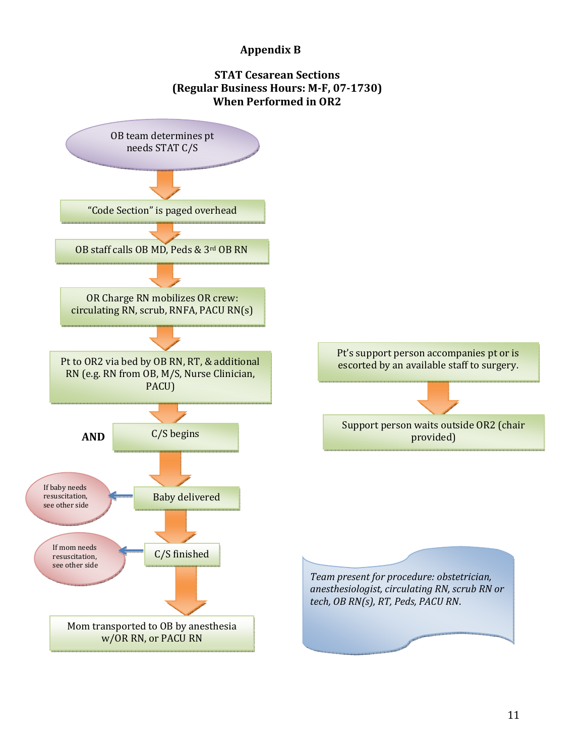#### Appendix B

#### STAT Cesarean Sections (Regular Business Hours: M-F, 07-1730) When Performed in OR2

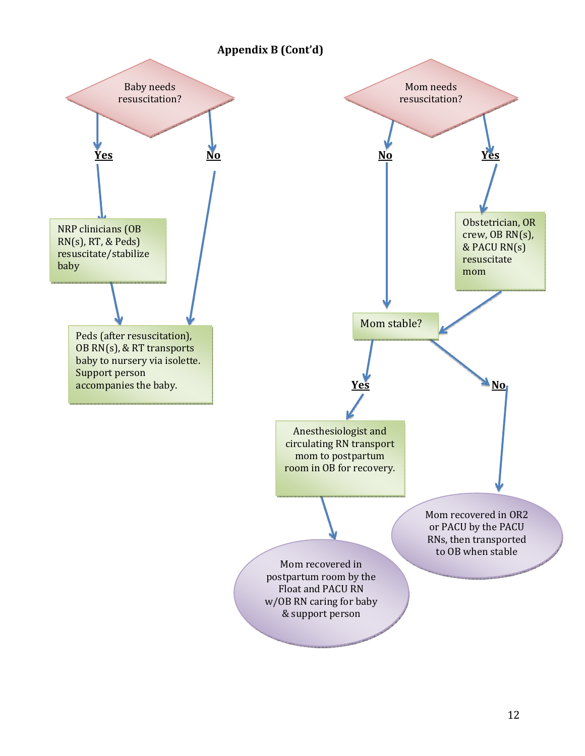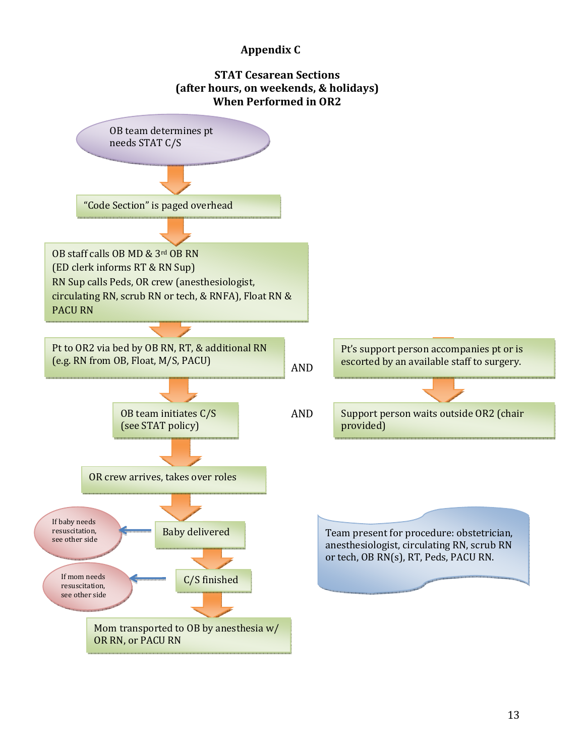#### Appendix C

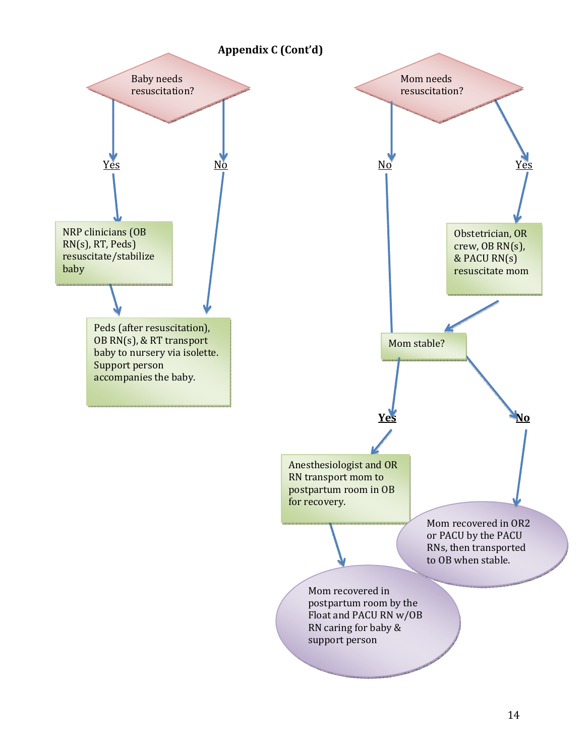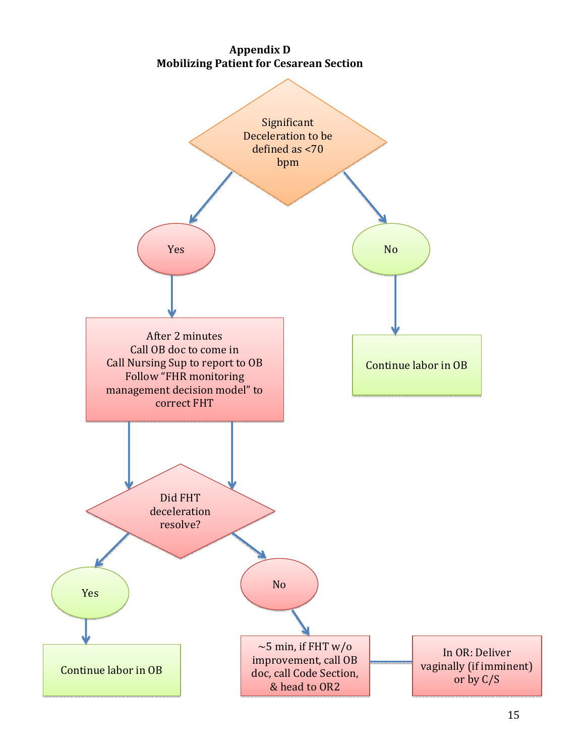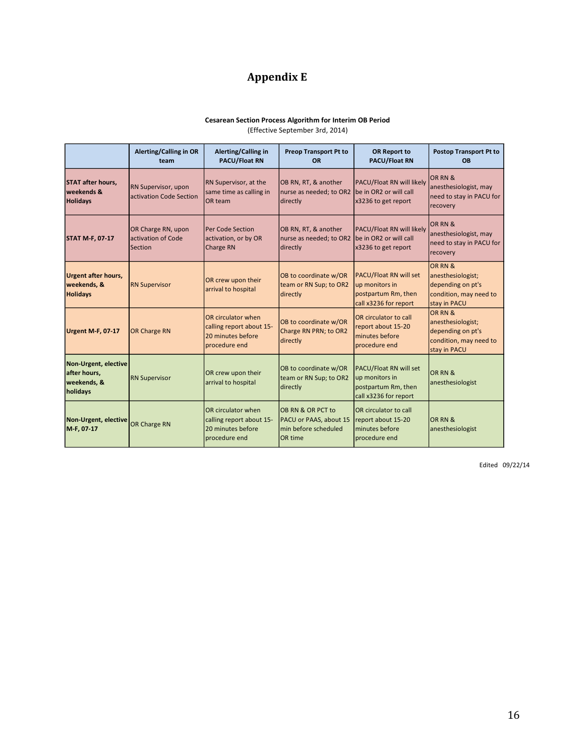## Appendix E

#### Cesarean Section Process Algorithm for Interim OB Period

(Effective September 3rd, 2014)

|                                                                 | Alerting/Calling in OR<br>team                      | Alerting/Calling in<br><b>PACU/Float RN</b>                                          | <b>Preop Transport Pt to</b><br><b>OR</b>                                      | <b>OR Report to</b><br><b>PACU/Float RN</b>                                                     | <b>Postop Transport Pt to</b><br><b>OB</b>                                                  |
|-----------------------------------------------------------------|-----------------------------------------------------|--------------------------------------------------------------------------------------|--------------------------------------------------------------------------------|-------------------------------------------------------------------------------------------------|---------------------------------------------------------------------------------------------|
| <b>ISTAT after hours.</b><br>weekends &<br><b>Holidays</b>      | RN Supervisor, upon<br>activation Code Section      | RN Supervisor, at the<br>same time as calling in<br><b>OR</b> team                   | OB RN, RT, & another<br>nurse as needed; to OR2<br>directly                    | PACU/Float RN will likely<br>be in OR2 or will call<br>x3236 to get report                      | OR RN &<br>anesthesiologist, may<br>need to stay in PACU for<br>recovery                    |
| <b>STAT M-F, 07-17</b>                                          | OR Charge RN, upon<br>activation of Code<br>Section | <b>Per Code Section</b><br>activation, or by OR<br>Charge RN                         | OB RN, RT, & another<br>nurse as needed; to OR2<br>directly                    | PACU/Float RN will likely<br>be in OR2 or will call<br>x3236 to get report                      | OR RN &<br>anesthesiologist, may<br>need to stay in PACU for<br>recovery                    |
| <b>Urgent after hours,</b><br>weekends, &<br><b>Holidays</b>    | <b>RN Supervisor</b>                                | OR crew upon their<br>arrival to hospital                                            | OB to coordinate w/OR<br>team or RN Sup; to OR2<br>directly                    | <b>PACU/Float RN will set</b><br>up monitors in<br>postpartum Rm, then<br>call x3236 for report | OR RN &<br>anesthesiologist;<br>depending on pt's<br>condition, may need to<br>stay in PACU |
| Urgent M-F, 07-17                                               | <b>OR Charge RN</b>                                 | OR circulator when<br>calling report about 15-<br>20 minutes before<br>procedure end | OB to coordinate w/OR<br>Charge RN PRN; to OR2<br>directly                     | OR circulator to call<br>report about 15-20<br>minutes before<br>procedure end                  | OR RN &<br>anesthesiologist;<br>depending on pt's<br>condition, may need to<br>stay in PACU |
| Non-Urgent, elective<br>after hours,<br>weekends, &<br>holidays | <b>RN Supervisor</b>                                | OR crew upon their<br>arrival to hospital                                            | OB to coordinate w/OR<br>team or RN Sup; to OR2<br>directly                    | PACU/Float RN will set<br>up monitors in<br>postpartum Rm, then<br>call x3236 for report        | OR RN &<br>anesthesiologist                                                                 |
| Non-Urgent, elective<br>M-F, 07-17                              | OR Charge RN                                        | OR circulator when<br>calling report about 15-<br>20 minutes before<br>procedure end | OB RN & OR PCT to<br>PACU or PAAS, about 15<br>min before scheduled<br>OR time | OR circulator to call<br>report about 15-20<br>minutes before<br>procedure end                  | OR RN &<br>anesthesiologist                                                                 |

Edited 09/22/14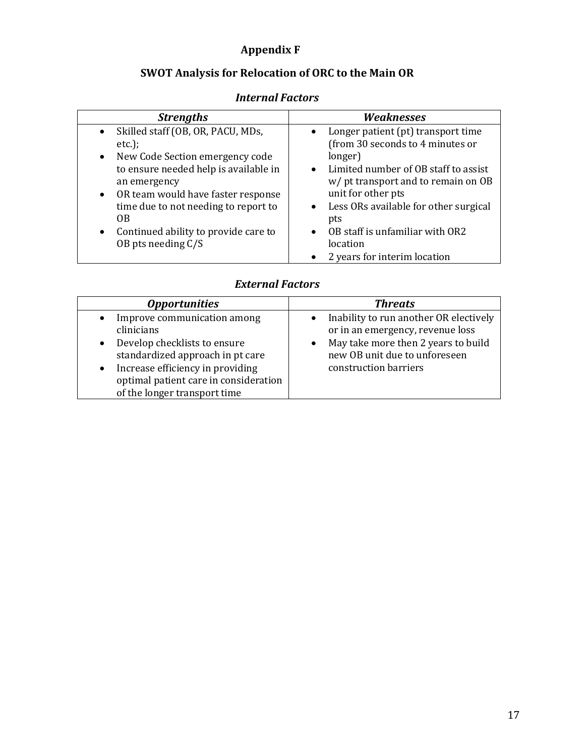#### Appendix F

#### SWOT Analysis for Relocation of ORC to the Main OR

#### Strengths Neaknesses • Skilled staff (OB, OR, PACU, MDs, etc.); • New Code Section emergency code to ensure needed help is available in an emergency • OR team would have faster response time due to not needing to report to OB • Continued ability to provide care to OB pts needing C/S • Longer patient (pt) transport time (from 30 seconds to 4 minutes or longer) • Limited number of OB staff to assist w/ pt transport and to remain on OB unit for other pts • Less ORs available for other surgical pts • OB staff is unfamiliar with OR2 location • 2 years for interim location

#### Internal Factors

#### External Factors

| <b>Threats</b><br><i><b>Opportunities</b></i><br>Improve communication among<br>Inability to run another OR electively<br>$\bullet$<br>$\bullet$<br>clinicians<br>or in an emergency, revenue loss<br>May take more then 2 years to build<br>Develop checklists to ensure<br>$\bullet$<br>$\bullet$<br>standardized approach in pt care<br>new OB unit due to unforeseen<br>construction barriers<br>Increase efficiency in providing<br>$\bullet$<br>optimal patient care in consideration<br>of the longer transport time |  |
|-----------------------------------------------------------------------------------------------------------------------------------------------------------------------------------------------------------------------------------------------------------------------------------------------------------------------------------------------------------------------------------------------------------------------------------------------------------------------------------------------------------------------------|--|
|                                                                                                                                                                                                                                                                                                                                                                                                                                                                                                                             |  |
|                                                                                                                                                                                                                                                                                                                                                                                                                                                                                                                             |  |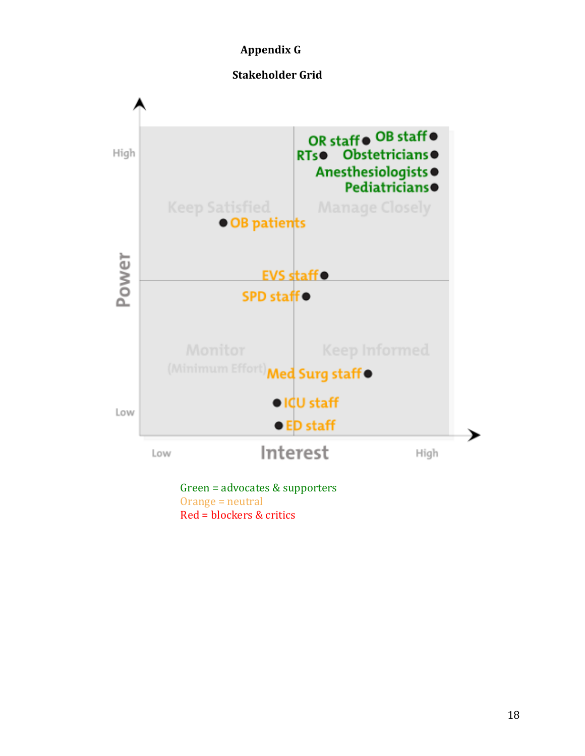#### Appendix G





Red = blockers blockers & critics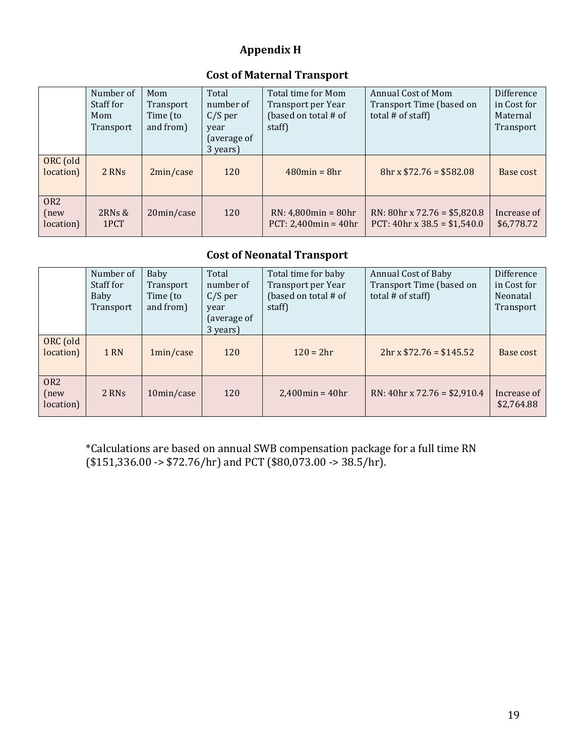### Appendix H

#### Cost of Maternal Transport

|                                      | Number of<br>Staff for<br>Mom<br>Transport | Mom<br>Transport<br>Time (to<br>and from) | Total<br>number of<br>$C/S$ per<br>year<br>(average of | Total time for Mom<br>Transport per Year<br>(based on total # of<br>staff) | Annual Cost of Mom<br>Transport Time (based on<br>total # of staff)      | Difference<br>in Cost for<br>Maternal<br>Transport |
|--------------------------------------|--------------------------------------------|-------------------------------------------|--------------------------------------------------------|----------------------------------------------------------------------------|--------------------------------------------------------------------------|----------------------------------------------------|
| ORC (old<br>location)                | 2 RNs                                      | 2min/case                                 | 3 years)<br>120                                        | $480$ min = 8hr                                                            | $8hr \times $72.76 = $582.08$                                            | Base cost                                          |
| OR <sub>2</sub><br>(new<br>location) | $2RNs$ &<br>1PCT                           | 20min/case                                | 120                                                    | $RN: 4,800min = 80hr$<br>$PCT: 2,400min = 40hr$                            | $RN: 80hr \times 72.76 = $5,820.8$<br>PCT: $40hr \times 38.5 = $1,540.0$ | Increase of<br>\$6,778.72                          |

#### Cost of Neonatal Transport

|                                      | Number of<br>Staff for<br>Baby<br>Transport | Baby<br>Transport<br>Time (to<br>and from) | Total<br>number of<br>$C/S$ per<br>year<br>(average of<br>3 years) | Total time for baby<br>Transport per Year<br>(based on total # of<br>staff) | <b>Annual Cost of Baby</b><br>Transport Time (based on<br>total # of staff) | Difference<br>in Cost for<br>Neonatal<br>Transport |
|--------------------------------------|---------------------------------------------|--------------------------------------------|--------------------------------------------------------------------|-----------------------------------------------------------------------------|-----------------------------------------------------------------------------|----------------------------------------------------|
| ORC (old<br>location)                | 1 RN                                        | 1min/case                                  | 120                                                                | $120 = 2hr$                                                                 | $2hr \times $72.76 = $145.52$                                               | Base cost                                          |
| OR <sub>2</sub><br>(new<br>location) | 2 RNs                                       | 10min/case                                 | 120                                                                | $2,400$ min = $40$ hr                                                       | RN: $40hr \times 72.76 = $2,910.4$                                          | Increase of<br>\$2,764.88                          |

\*Calculations are based on annual SWB compensation package for a full time RN  $($151,336.00 \rightarrow $72.76/hr)$  and PCT  $($80,073.00 \rightarrow 38.5/hr)$ .